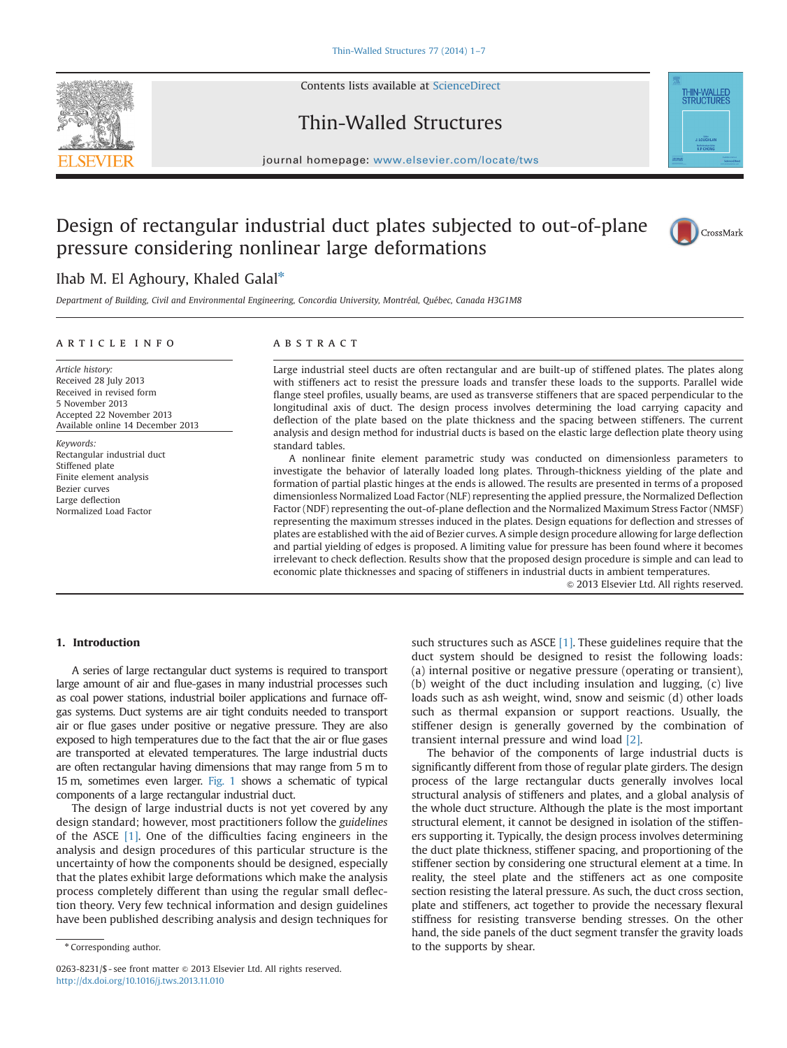

Contents lists available at [ScienceDirect](www.sciencedirect.com/science/journal/02638231)

# Thin-Walled Structures



journal homepage: <www.elsevier.com/locate/tws>-

# Design of rectangular industrial duct plates subjected to out-of-plane pressure considering nonlinear large deformations



## Ihab M. El Aghoury, Khaled Galal\*

Department of Building, Civil and Environmental Engineering, Concordia University, Montréal, Québec, Canada H3G1M8

#### article info

Article history: Received 28 July 2013 Received in revised form 5 November 2013 Accepted 22 November 2013 Available online 14 December 2013

Keywords: Rectangular industrial duct Stiffened plate Finite element analysis Bezier curves Large deflection Normalized Load Factor

## ABSTRACT

Large industrial steel ducts are often rectangular and are built-up of stiffened plates. The plates along with stiffeners act to resist the pressure loads and transfer these loads to the supports. Parallel wide flange steel profiles, usually beams, are used as transverse stiffeners that are spaced perpendicular to the longitudinal axis of duct. The design process involves determining the load carrying capacity and deflection of the plate based on the plate thickness and the spacing between stiffeners. The current analysis and design method for industrial ducts is based on the elastic large deflection plate theory using standard tables.

A nonlinear finite element parametric study was conducted on dimensionless parameters to investigate the behavior of laterally loaded long plates. Through-thickness yielding of the plate and formation of partial plastic hinges at the ends is allowed. The results are presented in terms of a proposed dimensionless Normalized Load Factor (NLF) representing the applied pressure, the Normalized Deflection Factor (NDF) representing the out-of-plane deflection and the Normalized Maximum Stress Factor (NMSF) representing the maximum stresses induced in the plates. Design equations for deflection and stresses of plates are established with the aid of Bezier curves. A simple design procedure allowing for large deflection and partial yielding of edges is proposed. A limiting value for pressure has been found where it becomes irrelevant to check deflection. Results show that the proposed design procedure is simple and can lead to economic plate thicknesses and spacing of stiffeners in industrial ducts in ambient temperatures.

& 2013 Elsevier Ltd. All rights reserved.

#### 1. Introduction

A series of large rectangular duct systems is required to transport large amount of air and flue-gases in many industrial processes such as coal power stations, industrial boiler applications and furnace offgas systems. Duct systems are air tight conduits needed to transport air or flue gases under positive or negative pressure. They are also exposed to high temperatures due to the fact that the air or flue gases are transported at elevated temperatures. The large industrial ducts are often rectangular having dimensions that may range from 5 m to 15 m, sometimes even larger. [Fig. 1](#page-1-0) shows a schematic of typical components of a large rectangular industrial duct.

The design of large industrial ducts is not yet covered by any design standard; however, most practitioners follow the guidelines of the ASCE [\[1\].](#page--1-0) One of the difficulties facing engineers in the analysis and design procedures of this particular structure is the uncertainty of how the components should be designed, especially that the plates exhibit large deformations which make the analysis process completely different than using the regular small deflection theory. Very few technical information and design guidelines have been published describing analysis and design techniques for such structures such as ASCE [\[1\].](#page--1-0) These guidelines require that the duct system should be designed to resist the following loads: (a) internal positive or negative pressure (operating or transient), (b) weight of the duct including insulation and lugging, (c) live loads such as ash weight, wind, snow and seismic (d) other loads such as thermal expansion or support reactions. Usually, the stiffener design is generally governed by the combination of transient internal pressure and wind load [\[2\].](#page--1-0)

The behavior of the components of large industrial ducts is significantly different from those of regular plate girders. The design process of the large rectangular ducts generally involves local structural analysis of stiffeners and plates, and a global analysis of the whole duct structure. Although the plate is the most important structural element, it cannot be designed in isolation of the stiffeners supporting it. Typically, the design process involves determining the duct plate thickness, stiffener spacing, and proportioning of the stiffener section by considering one structural element at a time. In reality, the steel plate and the stiffeners act as one composite section resisting the lateral pressure. As such, the duct cross section, plate and stiffeners, act together to provide the necessary flexural stiffness for resisting transverse bending stresses. On the other hand, the side panels of the duct segment transfer the gravity loads to the supports by shear.

<sup>\*</sup> Corresponding author.

<sup>0263-8231/\$ -</sup> see front matter @ 2013 Elsevier Ltd. All rights reserved. <http://dx.doi.org/10.1016/j.tws.2013.11.010>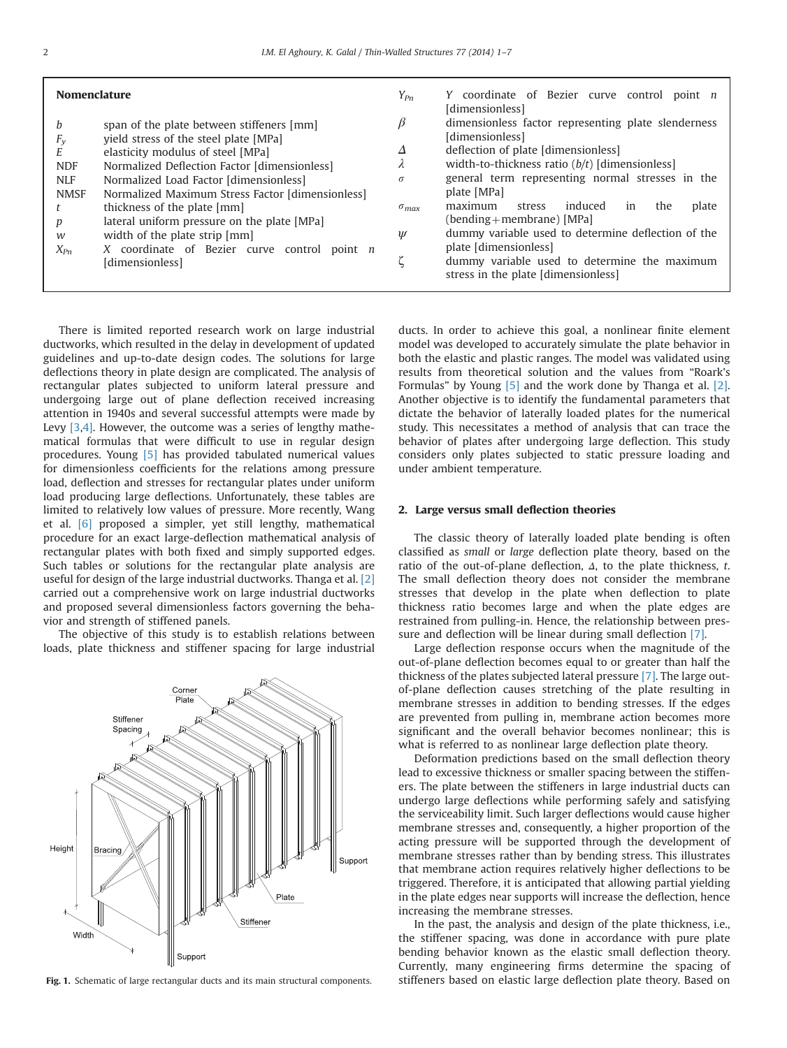<span id="page-1-0"></span>

| <b>Nomenclature</b>                                                                                                                                                                                                                                                                                                                                                                                                                                                                                                                    | Y coordinate of Bezier curve control point n<br>$Y_{Pn}$<br>[dimensionless]                                                                                                                                                                                                                                                                                                                                                                                                                                                                   |
|----------------------------------------------------------------------------------------------------------------------------------------------------------------------------------------------------------------------------------------------------------------------------------------------------------------------------------------------------------------------------------------------------------------------------------------------------------------------------------------------------------------------------------------|-----------------------------------------------------------------------------------------------------------------------------------------------------------------------------------------------------------------------------------------------------------------------------------------------------------------------------------------------------------------------------------------------------------------------------------------------------------------------------------------------------------------------------------------------|
| span of the plate between stiffeners [mm]<br>b<br>yield stress of the steel plate [MPa]<br>$F_y$<br>elasticity modulus of steel [MPa]<br>Normalized Deflection Factor [dimensionless]<br><b>NDF</b><br>Normalized Load Factor [dimensionless]<br><b>NLF</b><br>Normalized Maximum Stress Factor [dimensionless]<br><b>NMSF</b><br>thickness of the plate [mm]<br>lateral uniform pressure on the plate [MPa]<br>р<br>width of the plate strip [mm]<br>w<br>X coordinate of Bezier curve control point n<br>$X_{Pn}$<br>[dimensionless] | ß<br>dimensionless factor representing plate slenderness<br>[dimensionless]<br>deflection of plate [dimensionless]<br>Δ<br>width-to-thickness ratio $(b/t)$ [dimensionless]<br>general term representing normal stresses in the<br>$\sigma$<br>plate [MPa]<br>induced<br>the<br>plate<br>maximum<br>stress<br>in<br>$\sigma_{max}$<br>$(bending + membrane)$ [MPa]<br>dummy variable used to determine deflection of the<br>Ψ<br>plate [dimensionless]<br>dummy variable used to determine the maximum<br>stress in the plate [dimensionless] |

There is limited reported research work on large industrial ductworks, which resulted in the delay in development of updated guidelines and up-to-date design codes. The solutions for large deflections theory in plate design are complicated. The analysis of rectangular plates subjected to uniform lateral pressure and undergoing large out of plane deflection received increasing attention in 1940s and several successful attempts were made by Levy [\[3,4\]](#page--1-0). However, the outcome was a series of lengthy mathematical formulas that were difficult to use in regular design procedures. Young [\[5\]](#page--1-0) has provided tabulated numerical values for dimensionless coefficients for the relations among pressure load, deflection and stresses for rectangular plates under uniform load producing large deflections. Unfortunately, these tables are limited to relatively low values of pressure. More recently, Wang et al. [\[6\]](#page--1-0) proposed a simpler, yet still lengthy, mathematical procedure for an exact large-deflection mathematical analysis of rectangular plates with both fixed and simply supported edges. Such tables or solutions for the rectangular plate analysis are useful for design of the large industrial ductworks. Thanga et al. [\[2\]](#page--1-0) carried out a comprehensive work on large industrial ductworks and proposed several dimensionless factors governing the behavior and strength of stiffened panels.

The objective of this study is to establish relations between loads, plate thickness and stiffener spacing for large industrial



Fig. 1. Schematic of large rectangular ducts and its main structural components.

ducts. In order to achieve this goal, a nonlinear finite element model was developed to accurately simulate the plate behavior in both the elastic and plastic ranges. The model was validated using results from theoretical solution and the values from "Roark's Formulas" by Young [\[5\]](#page--1-0) and the work done by Thanga et al. [\[2\].](#page--1-0) Another objective is to identify the fundamental parameters that dictate the behavior of laterally loaded plates for the numerical study. This necessitates a method of analysis that can trace the behavior of plates after undergoing large deflection. This study considers only plates subjected to static pressure loading and under ambient temperature.

### 2. Large versus small deflection theories

The classic theory of laterally loaded plate bending is often classified as small or large deflection plate theory, based on the ratio of the out-of-plane deflection,  $\Delta$ , to the plate thickness, t. The small deflection theory does not consider the membrane stresses that develop in the plate when deflection to plate thickness ratio becomes large and when the plate edges are restrained from pulling-in. Hence, the relationship between pressure and deflection will be linear during small deflection [\[7\]](#page--1-0).

Large deflection response occurs when the magnitude of the out-of-plane deflection becomes equal to or greater than half the thickness of the plates subjected lateral pressure [\[7\]](#page--1-0). The large outof-plane deflection causes stretching of the plate resulting in membrane stresses in addition to bending stresses. If the edges are prevented from pulling in, membrane action becomes more significant and the overall behavior becomes nonlinear; this is what is referred to as nonlinear large deflection plate theory.

Deformation predictions based on the small deflection theory lead to excessive thickness or smaller spacing between the stiffeners. The plate between the stiffeners in large industrial ducts can undergo large deflections while performing safely and satisfying the serviceability limit. Such larger deflections would cause higher membrane stresses and, consequently, a higher proportion of the acting pressure will be supported through the development of membrane stresses rather than by bending stress. This illustrates that membrane action requires relatively higher deflections to be triggered. Therefore, it is anticipated that allowing partial yielding in the plate edges near supports will increase the deflection, hence increasing the membrane stresses.

In the past, the analysis and design of the plate thickness, i.e., the stiffener spacing, was done in accordance with pure plate bending behavior known as the elastic small deflection theory. Currently, many engineering firms determine the spacing of stiffeners based on elastic large deflection plate theory. Based on